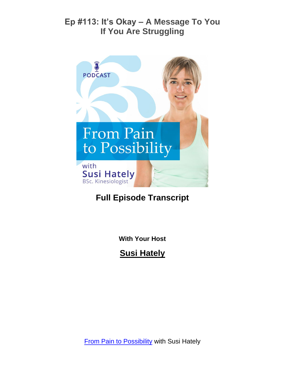

# **Full Episode Transcript**

**With Your Host**

**Susi Hately**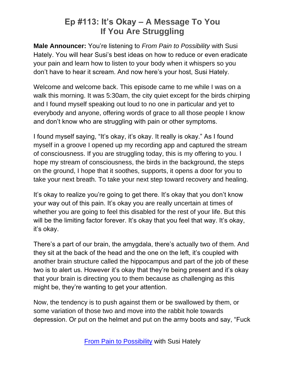**Male Announcer:** You're listening to *From Pain to Possibility* with Susi Hately. You will hear Susi's best ideas on how to reduce or even eradicate your pain and learn how to listen to your body when it whispers so you don't have to hear it scream. And now here's your host, Susi Hately.

Welcome and welcome back. This episode came to me while I was on a walk this morning. It was 5:30am, the city quiet except for the birds chirping and I found myself speaking out loud to no one in particular and yet to everybody and anyone, offering words of grace to all those people I know and don't know who are struggling with pain or other symptoms.

I found myself saying, "It's okay, it's okay. It really is okay." As I found myself in a groove I opened up my recording app and captured the stream of consciousness. If you are struggling today, this is my offering to you. I hope my stream of consciousness, the birds in the background, the steps on the ground, I hope that it soothes, supports, it opens a door for you to take your next breath. To take your next step toward recovery and healing.

It's okay to realize you're going to get there. It's okay that you don't know your way out of this pain. It's okay you are really uncertain at times of whether you are going to feel this disabled for the rest of your life. But this will be the limiting factor forever. It's okay that you feel that way. It's okay, it's okay.

There's a part of our brain, the amygdala, there's actually two of them. And they sit at the back of the head and the one on the left, it's coupled with another brain structure called the hippocampus and part of the job of these two is to alert us. However it's okay that they're being present and it's okay that your brain is directing you to them because as challenging as this might be, they're wanting to get your attention.

Now, the tendency is to push against them or be swallowed by them, or some variation of those two and move into the rabbit hole towards depression. Or put on the helmet and put on the army boots and say, "Fuck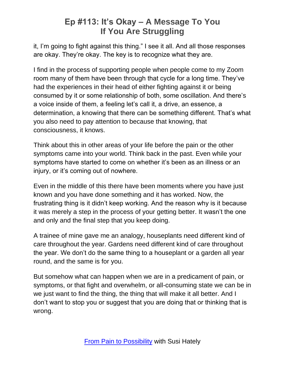it, I'm going to fight against this thing." I see it all. And all those responses are okay. They're okay. The key is to recognize what they are.

I find in the process of supporting people when people come to my Zoom room many of them have been through that cycle for a long time. They've had the experiences in their head of either fighting against it or being consumed by it or some relationship of both, some oscillation. And there's a voice inside of them, a feeling let's call it, a drive, an essence, a determination, a knowing that there can be something different. That's what you also need to pay attention to because that knowing, that consciousness, it knows.

Think about this in other areas of your life before the pain or the other symptoms came into your world. Think back in the past. Even while your symptoms have started to come on whether it's been as an illness or an injury, or it's coming out of nowhere.

Even in the middle of this there have been moments where you have just known and you have done something and it has worked. Now, the frustrating thing is it didn't keep working. And the reason why is it because it was merely a step in the process of your getting better. It wasn't the one and only and the final step that you keep doing.

A trainee of mine gave me an analogy, houseplants need different kind of care throughout the year. Gardens need different kind of care throughout the year. We don't do the same thing to a houseplant or a garden all year round, and the same is for you.

But somehow what can happen when we are in a predicament of pain, or symptoms, or that fight and overwhelm, or all-consuming state we can be in we just want to find the thing, the thing that will make it all better. And I don't want to stop you or suggest that you are doing that or thinking that is wrong.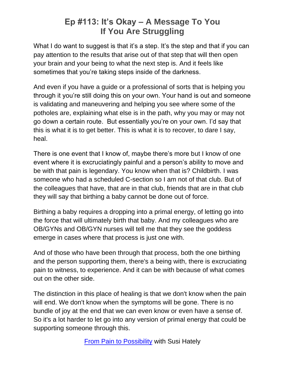What I do want to suggest is that it's a step. It's the step and that if you can pay attention to the results that arise out of that step that will then open your brain and your being to what the next step is. And it feels like sometimes that you're taking steps inside of the darkness.

And even if you have a guide or a professional of sorts that is helping you through it you're still doing this on your own. Your hand is out and someone is validating and maneuvering and helping you see where some of the potholes are, explaining what else is in the path, why you may or may not go down a certain route. But essentially you're on your own. I'd say that this is what it is to get better. This is what it is to recover, to dare I say, heal.

There is one event that I know of, maybe there's more but I know of one event where it is excruciatingly painful and a person's ability to move and be with that pain is legendary. You know when that is? Childbirth. I was someone who had a scheduled C-section so I am not of that club. But of the colleagues that have, that are in that club, friends that are in that club they will say that birthing a baby cannot be done out of force.

Birthing a baby requires a dropping into a primal energy, of letting go into the force that will ultimately birth that baby. And my colleagues who are OB/GYNs and OB/GYN nurses will tell me that they see the goddess emerge in cases where that process is just one with.

And of those who have been through that process, both the one birthing and the person supporting them, there's a being with, there is excruciating pain to witness, to experience. And it can be with because of what comes out on the other side.

The distinction in this place of healing is that we don't know when the pain will end. We don't know when the symptoms will be gone. There is no bundle of joy at the end that we can even know or even have a sense of. So it's a lot harder to let go into any version of primal energy that could be supporting someone through this.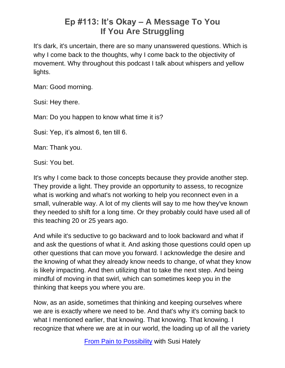It's dark, it's uncertain, there are so many unanswered questions. Which is why I come back to the thoughts, why I come back to the objectivity of movement. Why throughout this podcast I talk about whispers and yellow lights.

Man: Good morning.

Susi: Hey there.

Man: Do you happen to know what time it is?

Susi: Yep, it's almost 6, ten till 6.

Man: Thank you.

Susi: You bet.

It's why I come back to those concepts because they provide another step. They provide a light. They provide an opportunity to assess, to recognize what is working and what's not working to help you reconnect even in a small, vulnerable way. A lot of my clients will say to me how they've known they needed to shift for a long time. Or they probably could have used all of this teaching 20 or 25 years ago.

And while it's seductive to go backward and to look backward and what if and ask the questions of what it. And asking those questions could open up other questions that can move you forward. I acknowledge the desire and the knowing of what they already know needs to change, of what they know is likely impacting. And then utilizing that to take the next step. And being mindful of moving in that swirl, which can sometimes keep you in the thinking that keeps you where you are.

Now, as an aside, sometimes that thinking and keeping ourselves where we are is exactly where we need to be. And that's why it's coming back to what I mentioned earlier, that knowing. That knowing. That knowing. I recognize that where we are at in our world, the loading up of all the variety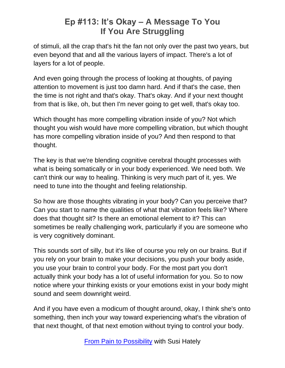of stimuli, all the crap that's hit the fan not only over the past two years, but even beyond that and all the various layers of impact. There's a lot of layers for a lot of people.

And even going through the process of looking at thoughts, of paying attention to movement is just too damn hard. And if that's the case, then the time is not right and that's okay. That's okay. And if your next thought from that is like, oh, but then I'm never going to get well, that's okay too.

Which thought has more compelling vibration inside of you? Not which thought you wish would have more compelling vibration, but which thought has more compelling vibration inside of you? And then respond to that thought.

The key is that we're blending cognitive cerebral thought processes with what is being somatically or in your body experienced. We need both. We can't think our way to healing. Thinking is very much part of it, yes. We need to tune into the thought and feeling relationship.

So how are those thoughts vibrating in your body? Can you perceive that? Can you start to name the qualities of what that vibration feels like? Where does that thought sit? Is there an emotional element to it? This can sometimes be really challenging work, particularly if you are someone who is very cognitively dominant.

This sounds sort of silly, but it's like of course you rely on our brains. But if you rely on your brain to make your decisions, you push your body aside, you use your brain to control your body. For the most part you don't actually think your body has a lot of useful information for you. So to now notice where your thinking exists or your emotions exist in your body might sound and seem downright weird.

And if you have even a modicum of thought around, okay, I think she's onto something, then inch your way toward experiencing what's the vibration of that next thought, of that next emotion without trying to control your body.